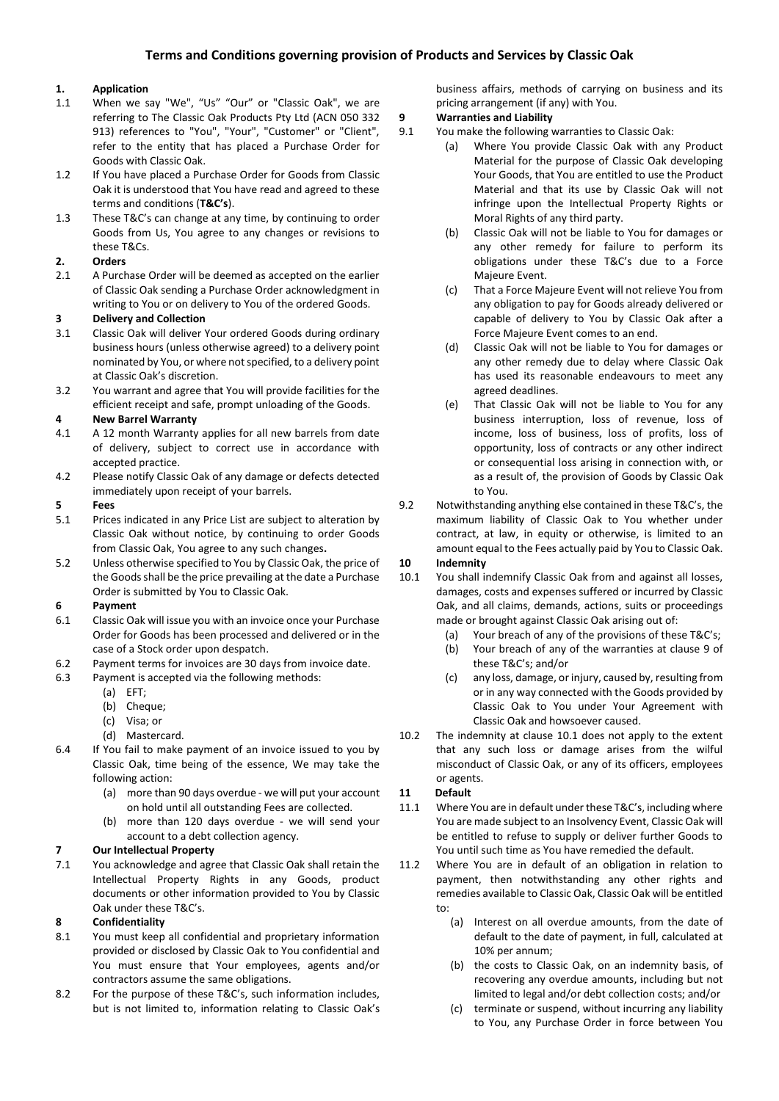# **1. Application**

- 1.1 When we say "We", "Us" "Our" or "Classic Oak", we are referring to The Classic Oak Products Pty Ltd (ACN 050 332 913) references to "You", "Your", "Customer" or "Client", refer to the entity that has placed a Purchase Order for Goods with Classic Oak.
- 1.2 If You have placed a Purchase Order for Goods from Classic Oak it is understood that You have read and agreed to these terms and conditions (**T&C's**).
- 1.3 These T&C's can change at any time, by continuing to order Goods from Us, You agree to any changes or revisions to these T&Cs.

## **2. Orders**

2.1 A Purchase Order will be deemed as accepted on the earlier of Classic Oak sending a Purchase Order acknowledgment in writing to You or on delivery to You of the ordered Goods.

## **3 Delivery and Collection**

- 3.1 Classic Oak will deliver Your ordered Goods during ordinary business hours (unless otherwise agreed) to a delivery point nominated by You, or where not specified, to a delivery point at Classic Oak's discretion.
- 3.2 You warrant and agree that You will provide facilities for the efficient receipt and safe, prompt unloading of the Goods.

## **4 New Barrel Warranty**

- 4.1 A 12 month Warranty applies for all new barrels from date of delivery, subject to correct use in accordance with accepted practice.
- 4.2 Please notify Classic Oak of any damage or defects detected immediately upon receipt of your barrels.

## **5 Fees**

- 5.1 Prices indicated in any Price List are subject to alteration by Classic Oak without notice, by continuing to order Goods from Classic Oak, You agree to any such changes**.**
- 5.2 Unless otherwise specified to You by Classic Oak, the price of the Goods shall be the price prevailing at the date a Purchase Order is submitted by You to Classic Oak.

## **6 Payment**

- 6.1 Classic Oak will issue you with an invoice once your Purchase Order for Goods has been processed and delivered or in the case of a Stock order upon despatch.
- 6.2 Payment terms for invoices are 30 days from invoice date.
- 6.3 Payment is accepted via the following methods:
	- (a) EFT;
	- (b) Cheque;
	- (c) Visa; or
	- (d) Mastercard.
- 6.4 If You fail to make payment of an invoice issued to you by Classic Oak, time being of the essence, We may take the following action:
	- (a) more than 90 days overdue we will put your account on hold until all outstanding Fees are collected.
	- (b) more than 120 days overdue we will send your account to a debt collection agency.

# **7 Our Intellectual Property**

7.1 You acknowledge and agree that Classic Oak shall retain the Intellectual Property Rights in any Goods, product documents or other information provided to You by Classic Oak under these T&C's.

## **8 Confidentiality**

- 8.1 You must keep all confidential and proprietary information provided or disclosed by Classic Oak to You confidential and You must ensure that Your employees, agents and/or contractors assume the same obligations.
- 8.2 For the purpose of these T&C's, such information includes, but is not limited to, information relating to Classic Oak's

business affairs, methods of carrying on business and its pricing arrangement (if any) with You.

## **9 Warranties and Liability**

- 9.1 You make the following warranties to Classic Oak:
	- (a) Where You provide Classic Oak with any Product Material for the purpose of Classic Oak developing Your Goods, that You are entitled to use the Product Material and that its use by Classic Oak will not infringe upon the Intellectual Property Rights or Moral Rights of any third party.
	- (b) Classic Oak will not be liable to You for damages or any other remedy for failure to perform its obligations under these T&C's due to a Force Majeure Event.
	- (c) That a Force Majeure Event will not relieve You from any obligation to pay for Goods already delivered or capable of delivery to You by Classic Oak after a Force Majeure Event comes to an end.
	- (d) Classic Oak will not be liable to You for damages or any other remedy due to delay where Classic Oak has used its reasonable endeavours to meet any agreed deadlines.
	- (e) That Classic Oak will not be liable to You for any business interruption, loss of revenue, loss of income, loss of business, loss of profits, loss of opportunity, loss of contracts or any other indirect or consequential loss arising in connection with, or as a result of, the provision of Goods by Classic Oak to You.
- 9.2 Notwithstanding anything else contained in these T&C's, the maximum liability of Classic Oak to You whether under contract, at law, in equity or otherwise, is limited to an amount equal to the Fees actually paid by You to Classic Oak.

# **10 Indemnity**

- 10.1 You shall indemnify Classic Oak from and against all losses, damages, costs and expenses suffered or incurred by Classic Oak, and all claims, demands, actions, suits or proceedings made or brought against Classic Oak arising out of:
	- (a) Your breach of any of the provisions of these T&C's;
	- (b) Your breach of any of the warranties at clause 9 of these T&C's; and/or
	- (c) any loss, damage, or injury, caused by, resulting from or in any way connected with the Goods provided by Classic Oak to You under Your Agreement with Classic Oak and howsoever caused.
- 10.2 The indemnity at clause 10.1 does not apply to the extent that any such loss or damage arises from the wilful misconduct of Classic Oak, or any of its officers, employees or agents.

## **11 Default**

- 11.1 Where You are in default under these T&C's, including where You are made subject to an Insolvency Event, Classic Oak will be entitled to refuse to supply or deliver further Goods to You until such time as You have remedied the default.
- 11.2 Where You are in default of an obligation in relation to payment, then notwithstanding any other rights and remedies available to Classic Oak, Classic Oak will be entitled to:
	- (a) Interest on all overdue amounts, from the date of default to the date of payment, in full, calculated at 10% per annum;
	- (b) the costs to Classic Oak, on an indemnity basis, of recovering any overdue amounts, including but not limited to legal and/or debt collection costs; and/or
	- (c) terminate or suspend, without incurring any liability to You, any Purchase Order in force between You